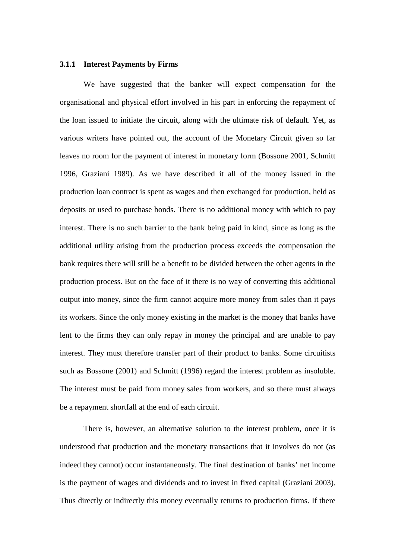## **3.1.1 Interest Payments by Firms**

We have suggested that the banker will expect compensation for the organisational and physical effort involved in his part in enforcing the repayment of the loan issued to initiate the circuit, along with the ultimate risk of default. Yet, as various writers have pointed out, the account of the Monetary Circuit given so far leaves no room for the payment of interest in monetary form (Bossone 2001, Schmitt 1996, Graziani 1989). As we have described it all of the money issued in the production loan contract is spent as wages and then exchanged for production, held as deposits or used to purchase bonds. There is no additional money with which to pay interest. There is no such barrier to the bank being paid in kind, since as long as the additional utility arising from the production process exceeds the compensation the bank requires there will still be a benefit to be divided between the other agents in the production process. But on the face of it there is no way of converting this additional output into money, since the firm cannot acquire more money from sales than it pays its workers. Since the only money existing in the market is the money that banks have lent to the firms they can only repay in money the principal and are unable to pay interest. They must therefore transfer part of their product to banks. Some circuitists such as Bossone (2001) and Schmitt (1996) regard the interest problem as insoluble. The interest must be paid from money sales from workers, and so there must always be a repayment shortfall at the end of each circuit.

There is, however, an alternative solution to the interest problem, once it is understood that production and the monetary transactions that it involves do not (as indeed they cannot) occur instantaneously. The final destination of banks' net income is the payment of wages and dividends and to invest in fixed capital (Graziani 2003). Thus directly or indirectly this money eventually returns to production firms. If there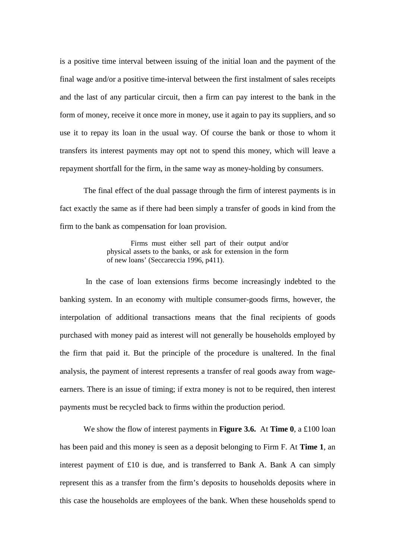is a positive time interval between issuing of the initial loan and the payment of the final wage and/or a positive time-interval between the first instalment of sales receipts and the last of any particular circuit, then a firm can pay interest to the bank in the form of money, receive it once more in money, use it again to pay its suppliers, and so use it to repay its loan in the usual way. Of course the bank or those to whom it transfers its interest payments may opt not to spend this money, which will leave a repayment shortfall for the firm, in the same way as money-holding by consumers.

The final effect of the dual passage through the firm of interest payments is in fact exactly the same as if there had been simply a transfer of goods in kind from the firm to the bank as compensation for loan provision.

> Firms must either sell part of their output and/or physical assets to the banks, or ask for extension in the form of new loans' (Seccareccia 1996, p411).

 In the case of loan extensions firms become increasingly indebted to the banking system. In an economy with multiple consumer-goods firms, however, the interpolation of additional transactions means that the final recipients of goods purchased with money paid as interest will not generally be households employed by the firm that paid it. But the principle of the procedure is unaltered. In the final analysis, the payment of interest represents a transfer of real goods away from wageearners. There is an issue of timing; if extra money is not to be required, then interest payments must be recycled back to firms within the production period.

We show the flow of interest payments in **Figure 3.6.** At **Time 0**, a £100 loan has been paid and this money is seen as a deposit belonging to Firm F. At **Time 1**, an interest payment of £10 is due, and is transferred to Bank A. Bank A can simply represent this as a transfer from the firm's deposits to households deposits where in this case the households are employees of the bank. When these households spend to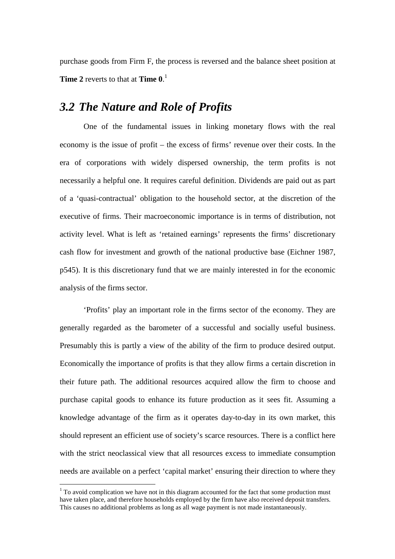purchase goods from Firm F, the process is reversed and the balance sheet position at **Time 2** reverts to that at **Time 0**. 1

# *3.2 The Nature and Role of Profits*

One of the fundamental issues in linking monetary flows with the real economy is the issue of profit – the excess of firms' revenue over their costs. In the era of corporations with widely dispersed ownership, the term profits is not necessarily a helpful one. It requires careful definition. Dividends are paid out as part of a 'quasi-contractual' obligation to the household sector, at the discretion of the executive of firms. Their macroeconomic importance is in terms of distribution, not activity level. What is left as 'retained earnings' represents the firms' discretionary cash flow for investment and growth of the national productive base (Eichner 1987, p545). It is this discretionary fund that we are mainly interested in for the economic analysis of the firms sector.

'Profits' play an important role in the firms sector of the economy. They are generally regarded as the barometer of a successful and socially useful business. Presumably this is partly a view of the ability of the firm to produce desired output. Economically the importance of profits is that they allow firms a certain discretion in their future path. The additional resources acquired allow the firm to choose and purchase capital goods to enhance its future production as it sees fit. Assuming a knowledge advantage of the firm as it operates day-to-day in its own market, this should represent an efficient use of society's scarce resources. There is a conflict here with the strict neoclassical view that all resources excess to immediate consumption needs are available on a perfect 'capital market' ensuring their direction to where they

 $\overline{a}$ 

 $1$  To avoid complication we have not in this diagram accounted for the fact that some production must have taken place, and therefore households employed by the firm have also received deposit transfers. This causes no additional problems as long as all wage payment is not made instantaneously.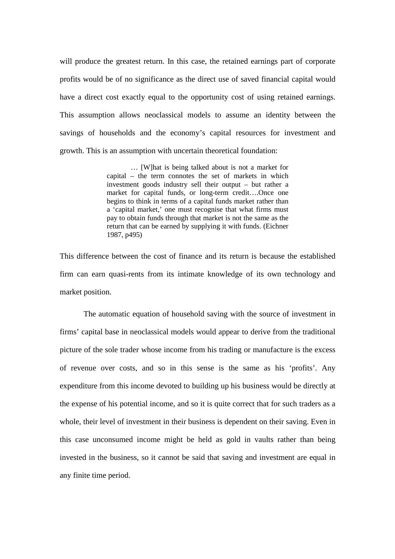will produce the greatest return. In this case, the retained earnings part of corporate profits would be of no significance as the direct use of saved financial capital would have a direct cost exactly equal to the opportunity cost of using retained earnings. This assumption allows neoclassical models to assume an identity between the savings of households and the economy's capital resources for investment and growth. This is an assumption with uncertain theoretical foundation:

> … [W]hat is being talked about is not a market for capital – the term connotes the set of markets in which investment goods industry sell their output – but rather a market for capital funds, or long-term credit….Once one begins to think in terms of a capital funds market rather than a 'capital market,' one must recognise that what firms must pay to obtain funds through that market is not the same as the return that can be earned by supplying it with funds. (Eichner 1987, p495)

This difference between the cost of finance and its return is because the established firm can earn quasi-rents from its intimate knowledge of its own technology and market position.

The automatic equation of household saving with the source of investment in firms' capital base in neoclassical models would appear to derive from the traditional picture of the sole trader whose income from his trading or manufacture is the excess of revenue over costs, and so in this sense is the same as his 'profits'. Any expenditure from this income devoted to building up his business would be directly at the expense of his potential income, and so it is quite correct that for such traders as a whole, their level of investment in their business is dependent on their saving. Even in this case unconsumed income might be held as gold in vaults rather than being invested in the business, so it cannot be said that saving and investment are equal in any finite time period.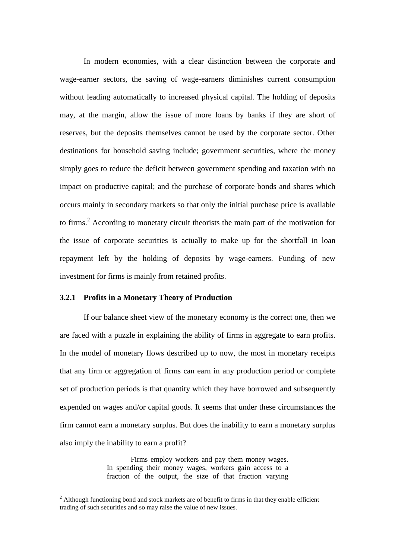In modern economies, with a clear distinction between the corporate and wage-earner sectors, the saving of wage-earners diminishes current consumption without leading automatically to increased physical capital. The holding of deposits may, at the margin, allow the issue of more loans by banks if they are short of reserves, but the deposits themselves cannot be used by the corporate sector. Other destinations for household saving include; government securities, where the money simply goes to reduce the deficit between government spending and taxation with no impact on productive capital; and the purchase of corporate bonds and shares which occurs mainly in secondary markets so that only the initial purchase price is available to firms.<sup>2</sup> According to monetary circuit theorists the main part of the motivation for the issue of corporate securities is actually to make up for the shortfall in loan repayment left by the holding of deposits by wage-earners. Funding of new investment for firms is mainly from retained profits.

## **3.2.1 Profits in a Monetary Theory of Production**

 $\overline{a}$ 

If our balance sheet view of the monetary economy is the correct one, then we are faced with a puzzle in explaining the ability of firms in aggregate to earn profits. In the model of monetary flows described up to now, the most in monetary receipts that any firm or aggregation of firms can earn in any production period or complete set of production periods is that quantity which they have borrowed and subsequently expended on wages and/or capital goods. It seems that under these circumstances the firm cannot earn a monetary surplus. But does the inability to earn a monetary surplus also imply the inability to earn a profit?

> Firms employ workers and pay them money wages. In spending their money wages, workers gain access to a fraction of the output, the size of that fraction varying

 $2$  Although functioning bond and stock markets are of benefit to firms in that they enable efficient trading of such securities and so may raise the value of new issues.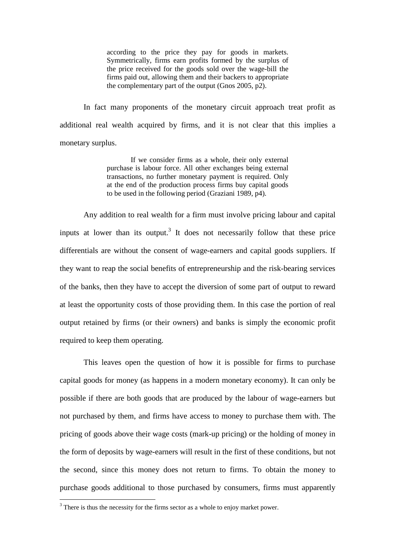according to the price they pay for goods in markets. Symmetrically, firms earn profits formed by the surplus of the price received for the goods sold over the wage-bill the firms paid out, allowing them and their backers to appropriate the complementary part of the output (Gnos 2005, p2).

In fact many proponents of the monetary circuit approach treat profit as additional real wealth acquired by firms, and it is not clear that this implies a monetary surplus.

> If we consider firms as a whole, their only external purchase is labour force. All other exchanges being external transactions, no further monetary payment is required. Only at the end of the production process firms buy capital goods to be used in the following period (Graziani 1989, p4).

Any addition to real wealth for a firm must involve pricing labour and capital inputs at lower than its output.<sup>3</sup> It does not necessarily follow that these price differentials are without the consent of wage-earners and capital goods suppliers. If they want to reap the social benefits of entrepreneurship and the risk-bearing services of the banks, then they have to accept the diversion of some part of output to reward at least the opportunity costs of those providing them. In this case the portion of real output retained by firms (or their owners) and banks is simply the economic profit required to keep them operating.

This leaves open the question of how it is possible for firms to purchase capital goods for money (as happens in a modern monetary economy). It can only be possible if there are both goods that are produced by the labour of wage-earners but not purchased by them, and firms have access to money to purchase them with. The pricing of goods above their wage costs (mark-up pricing) or the holding of money in the form of deposits by wage-earners will result in the first of these conditions, but not the second, since this money does not return to firms. To obtain the money to purchase goods additional to those purchased by consumers, firms must apparently

 $\overline{a}$ 

 $3$  There is thus the necessity for the firms sector as a whole to enjoy market power.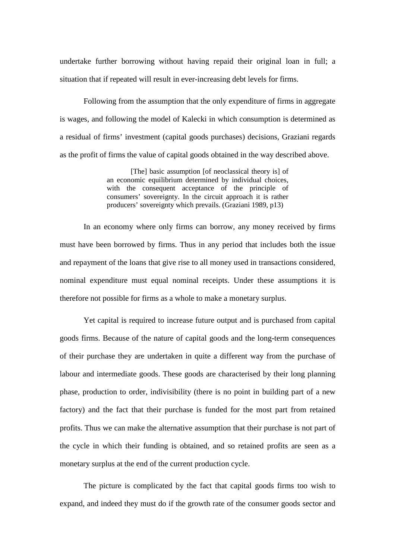undertake further borrowing without having repaid their original loan in full; a situation that if repeated will result in ever-increasing debt levels for firms.

Following from the assumption that the only expenditure of firms in aggregate is wages, and following the model of Kalecki in which consumption is determined as a residual of firms' investment (capital goods purchases) decisions, Graziani regards as the profit of firms the value of capital goods obtained in the way described above.

> [The] basic assumption [of neoclassical theory is] of an economic equilibrium determined by individual choices, with the consequent acceptance of the principle of consumers' sovereignty. In the circuit approach it is rather producers' sovereignty which prevails. (Graziani 1989, p13)

In an economy where only firms can borrow, any money received by firms must have been borrowed by firms. Thus in any period that includes both the issue and repayment of the loans that give rise to all money used in transactions considered, nominal expenditure must equal nominal receipts. Under these assumptions it is therefore not possible for firms as a whole to make a monetary surplus.

Yet capital is required to increase future output and is purchased from capital goods firms. Because of the nature of capital goods and the long-term consequences of their purchase they are undertaken in quite a different way from the purchase of labour and intermediate goods. These goods are characterised by their long planning phase, production to order, indivisibility (there is no point in building part of a new factory) and the fact that their purchase is funded for the most part from retained profits. Thus we can make the alternative assumption that their purchase is not part of the cycle in which their funding is obtained, and so retained profits are seen as a monetary surplus at the end of the current production cycle.

The picture is complicated by the fact that capital goods firms too wish to expand, and indeed they must do if the growth rate of the consumer goods sector and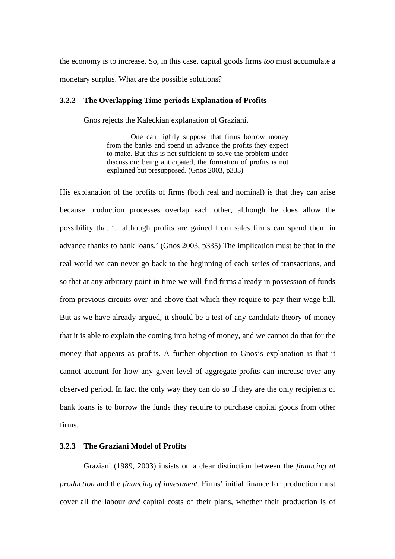the economy is to increase. So, in this case, capital goods firms *too* must accumulate a monetary surplus. What are the possible solutions?

# **3.2.2 The Overlapping Time-periods Explanation of Profits**

Gnos rejects the Kaleckian explanation of Graziani.

One can rightly suppose that firms borrow money from the banks and spend in advance the profits they expect to make. But this is not sufficient to solve the problem under discussion: being anticipated, the formation of profits is not explained but presupposed. (Gnos 2003, p333)

His explanation of the profits of firms (both real and nominal) is that they can arise because production processes overlap each other, although he does allow the possibility that '…although profits are gained from sales firms can spend them in advance thanks to bank loans.' (Gnos 2003, p335) The implication must be that in the real world we can never go back to the beginning of each series of transactions, and so that at any arbitrary point in time we will find firms already in possession of funds from previous circuits over and above that which they require to pay their wage bill. But as we have already argued, it should be a test of any candidate theory of money that it is able to explain the coming into being of money, and we cannot do that for the money that appears as profits. A further objection to Gnos's explanation is that it cannot account for how any given level of aggregate profits can increase over any observed period. In fact the only way they can do so if they are the only recipients of bank loans is to borrow the funds they require to purchase capital goods from other firms.

# **3.2.3 The Graziani Model of Profits**

Graziani (1989, 2003) insists on a clear distinction between the *financing of production* and the *financing of investment.* Firms' initial finance for production must cover all the labour *and* capital costs of their plans, whether their production is of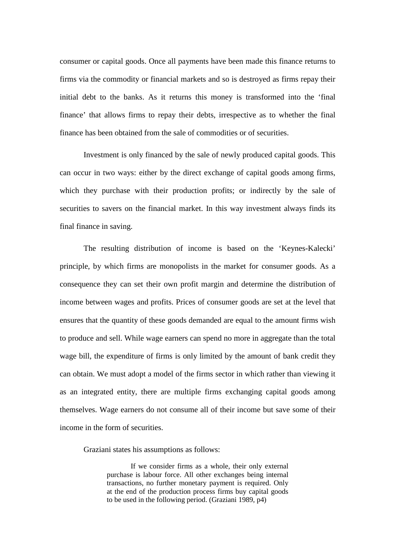consumer or capital goods. Once all payments have been made this finance returns to firms via the commodity or financial markets and so is destroyed as firms repay their initial debt to the banks. As it returns this money is transformed into the 'final finance' that allows firms to repay their debts, irrespective as to whether the final finance has been obtained from the sale of commodities or of securities.

Investment is only financed by the sale of newly produced capital goods. This can occur in two ways: either by the direct exchange of capital goods among firms, which they purchase with their production profits; or indirectly by the sale of securities to savers on the financial market. In this way investment always finds its final finance in saving.

The resulting distribution of income is based on the 'Keynes-Kalecki' principle, by which firms are monopolists in the market for consumer goods. As a consequence they can set their own profit margin and determine the distribution of income between wages and profits. Prices of consumer goods are set at the level that ensures that the quantity of these goods demanded are equal to the amount firms wish to produce and sell. While wage earners can spend no more in aggregate than the total wage bill, the expenditure of firms is only limited by the amount of bank credit they can obtain. We must adopt a model of the firms sector in which rather than viewing it as an integrated entity, there are multiple firms exchanging capital goods among themselves. Wage earners do not consume all of their income but save some of their income in the form of securities.

Graziani states his assumptions as follows:

If we consider firms as a whole, their only external purchase is labour force. All other exchanges being internal transactions, no further monetary payment is required. Only at the end of the production process firms buy capital goods to be used in the following period. (Graziani 1989, p4)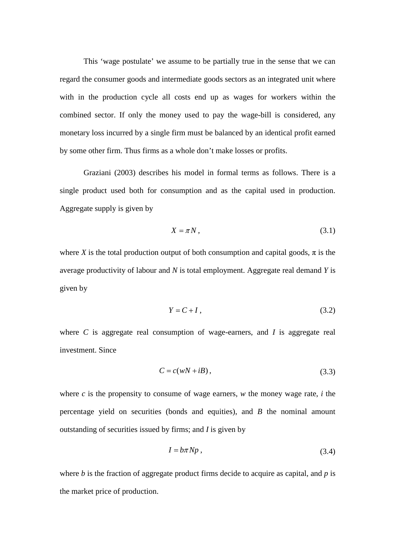This 'wage postulate' we assume to be partially true in the sense that we can regard the consumer goods and intermediate goods sectors as an integrated unit where with in the production cycle all costs end up as wages for workers within the combined sector. If only the money used to pay the wage-bill is considered, any monetary loss incurred by a single firm must be balanced by an identical profit earned by some other firm. Thus firms as a whole don't make losses or profits.

Graziani (2003) describes his model in formal terms as follows. There is a single product used both for consumption and as the capital used in production. Aggregate supply is given by

$$
X = \pi N, \tag{3.1}
$$

where *X* is the total production output of both consumption and capital goods,  $\pi$  is the average productivity of labour and *N* is total employment. Aggregate real demand *Y* is given by

$$
Y = C + I, \tag{3.2}
$$

where *C* is aggregate real consumption of wage-earners, and *I* is aggregate real investment. Since

$$
C = c(wN + iB), \tag{3.3}
$$

where *c* is the propensity to consume of wage earners, *w* the money wage rate, *i* the percentage yield on securities (bonds and equities), and *B* the nominal amount outstanding of securities issued by firms; and *I* is given by

$$
I = b\pi Np \,,\tag{3.4}
$$

where *b* is the fraction of aggregate product firms decide to acquire as capital, and *p* is the market price of production.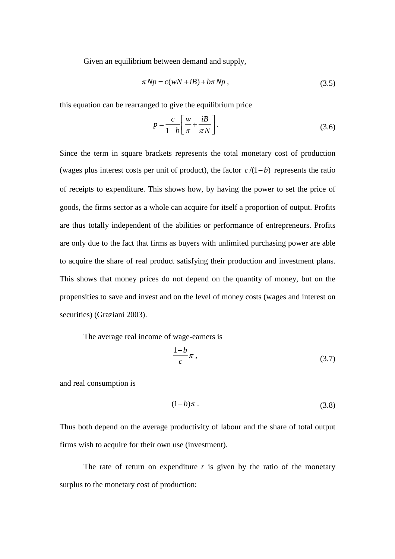Given an equilibrium between demand and supply,

$$
\pi N p = c(wN + iB) + b\pi N p , \qquad (3.5)
$$

this equation can be rearranged to give the equilibrium price

$$
p = \frac{c}{1 - b} \left[ \frac{w}{\pi} + \frac{iB}{\pi N} \right].
$$
 (3.6)

Since the term in square brackets represents the total monetary cost of production (wages plus interest costs per unit of product), the factor  $c/(1-b)$  represents the ratio of receipts to expenditure. This shows how, by having the power to set the price of goods, the firms sector as a whole can acquire for itself a proportion of output. Profits are thus totally independent of the abilities or performance of entrepreneurs. Profits are only due to the fact that firms as buyers with unlimited purchasing power are able to acquire the share of real product satisfying their production and investment plans. This shows that money prices do not depend on the quantity of money, but on the propensities to save and invest and on the level of money costs (wages and interest on securities) (Graziani 2003).

The average real income of wage-earners is

$$
\frac{1-b}{c}\pi\,,\tag{3.7}
$$

and real consumption is

$$
(1-b)\pi\,. \tag{3.8}
$$

Thus both depend on the average productivity of labour and the share of total output firms wish to acquire for their own use (investment).

The rate of return on expenditure  $r$  is given by the ratio of the monetary surplus to the monetary cost of production: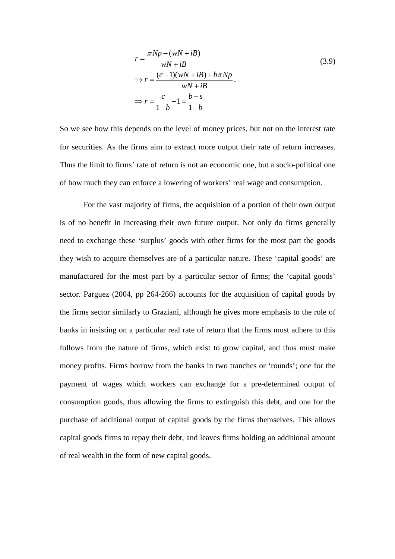$$
r = \frac{\pi N p - (wN + iB)}{wN + iB}
$$
  
\n
$$
\Rightarrow r = \frac{(c - 1)(wN + iB) + b\pi N p}{wN + iB}.
$$
  
\n
$$
\Rightarrow r = \frac{c}{1 - b} - 1 = \frac{b - s}{1 - b}
$$
  
\n(3.9)

So we see how this depends on the level of money prices, but not on the interest rate for securities. As the firms aim to extract more output their rate of return increases. Thus the limit to firms' rate of return is not an economic one, but a socio-political one of how much they can enforce a lowering of workers' real wage and consumption.

For the vast majority of firms, the acquisition of a portion of their own output is of no benefit in increasing their own future output. Not only do firms generally need to exchange these 'surplus' goods with other firms for the most part the goods they wish to acquire themselves are of a particular nature. These 'capital goods' are manufactured for the most part by a particular sector of firms; the 'capital goods' sector. Parguez (2004, pp 264-266) accounts for the acquisition of capital goods by the firms sector similarly to Graziani, although he gives more emphasis to the role of banks in insisting on a particular real rate of return that the firms must adhere to this follows from the nature of firms, which exist to grow capital, and thus must make money profits. Firms borrow from the banks in two tranches or 'rounds'; one for the payment of wages which workers can exchange for a pre-determined output of consumption goods, thus allowing the firms to extinguish this debt, and one for the purchase of additional output of capital goods by the firms themselves. This allows capital goods firms to repay their debt, and leaves firms holding an additional amount of real wealth in the form of new capital goods.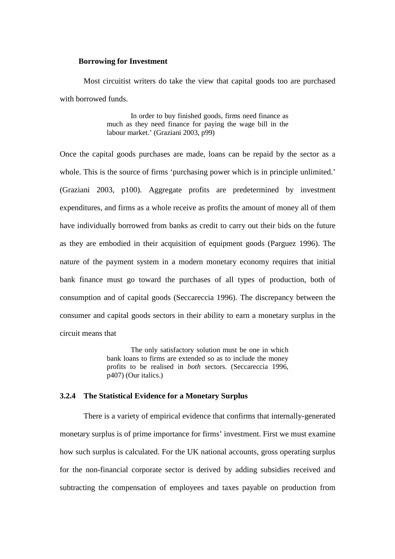#### **Borrowing for Investment**

Most circuitist writers do take the view that capital goods too are purchased with borrowed funds.

> In order to buy finished goods, firms need finance as much as they need finance for paying the wage bill in the labour market.' (Graziani 2003, p99)

Once the capital goods purchases are made, loans can be repaid by the sector as a whole. This is the source of firms 'purchasing power which is in principle unlimited.' (Graziani 2003, p100). Aggregate profits are predetermined by investment expenditures, and firms as a whole receive as profits the amount of money all of them have individually borrowed from banks as credit to carry out their bids on the future as they are embodied in their acquisition of equipment goods (Parguez 1996). The nature of the payment system in a modern monetary economy requires that initial bank finance must go toward the purchases of all types of production, both of consumption and of capital goods (Seccareccia 1996). The discrepancy between the consumer and capital goods sectors in their ability to earn a monetary surplus in the circuit means that

> The only satisfactory solution must be one in which bank loans to firms are extended so as to include the money profits to be realised in *both* sectors. (Seccareccia 1996, p407) (Our italics.)

## **3.2.4 The Statistical Evidence for a Monetary Surplus**

There is a variety of empirical evidence that confirms that internally-generated monetary surplus is of prime importance for firms' investment. First we must examine how such surplus is calculated. For the UK national accounts, gross operating surplus for the non-financial corporate sector is derived by adding subsidies received and subtracting the compensation of employees and taxes payable on production from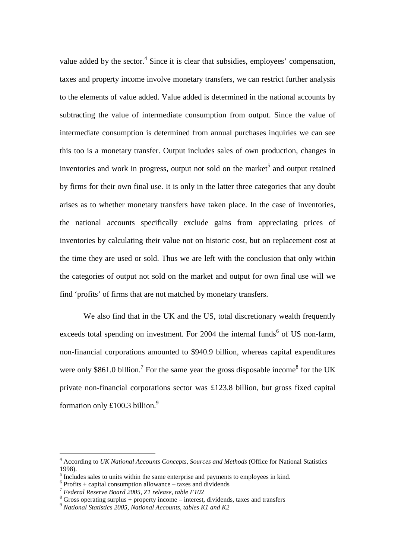value added by the sector.<sup>4</sup> Since it is clear that subsidies, employees' compensation, taxes and property income involve monetary transfers, we can restrict further analysis to the elements of value added. Value added is determined in the national accounts by subtracting the value of intermediate consumption from output. Since the value of intermediate consumption is determined from annual purchases inquiries we can see this too is a monetary transfer. Output includes sales of own production, changes in inventories and work in progress, output not sold on the market<sup>5</sup> and output retained by firms for their own final use. It is only in the latter three categories that any doubt arises as to whether monetary transfers have taken place. In the case of inventories, the national accounts specifically exclude gains from appreciating prices of inventories by calculating their value not on historic cost, but on replacement cost at the time they are used or sold. Thus we are left with the conclusion that only within the categories of output not sold on the market and output for own final use will we find 'profits' of firms that are not matched by monetary transfers.

We also find that in the UK and the US, total discretionary wealth frequently exceeds total spending on investment. For  $2004$  the internal funds<sup>6</sup> of US non-farm, non-financial corporations amounted to \$940.9 billion, whereas capital expenditures were only \$861.0 billion.<sup>7</sup> For the same year the gross disposable income<sup>8</sup> for the UK private non-financial corporations sector was £123.8 billion, but gross fixed capital formation only £100.3 billion.<sup>9</sup>

 4 According to *UK National Accounts Concepts, Sources and Methods* (Office for National Statistics 1998).

<sup>&</sup>lt;sup>5</sup> Includes sales to units within the same enterprise and payments to employees in kind.

 $6$  Profits + capital consumption allowance – taxes and dividends

<sup>7</sup> *Federal Reserve Board 2005, Z1 release, table F102*

 $8$  Gross operating surplus + property income – interest, dividends, taxes and transfers

<sup>9</sup> *National Statistics 2005, National Accounts, tables K1 and K2*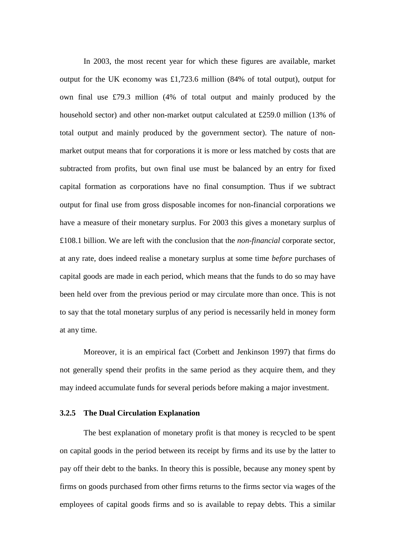In 2003, the most recent year for which these figures are available, market output for the UK economy was £1,723.6 million (84% of total output), output for own final use £79.3 million (4% of total output and mainly produced by the household sector) and other non-market output calculated at £259.0 million (13% of total output and mainly produced by the government sector). The nature of nonmarket output means that for corporations it is more or less matched by costs that are subtracted from profits, but own final use must be balanced by an entry for fixed capital formation as corporations have no final consumption. Thus if we subtract output for final use from gross disposable incomes for non-financial corporations we have a measure of their monetary surplus. For 2003 this gives a monetary surplus of £108.1 billion. We are left with the conclusion that the *non-financial* corporate sector, at any rate, does indeed realise a monetary surplus at some time *before* purchases of capital goods are made in each period, which means that the funds to do so may have been held over from the previous period or may circulate more than once. This is not to say that the total monetary surplus of any period is necessarily held in money form at any time.

Moreover, it is an empirical fact (Corbett and Jenkinson 1997) that firms do not generally spend their profits in the same period as they acquire them, and they may indeed accumulate funds for several periods before making a major investment.

## **3.2.5 The Dual Circulation Explanation**

The best explanation of monetary profit is that money is recycled to be spent on capital goods in the period between its receipt by firms and its use by the latter to pay off their debt to the banks. In theory this is possible, because any money spent by firms on goods purchased from other firms returns to the firms sector via wages of the employees of capital goods firms and so is available to repay debts. This a similar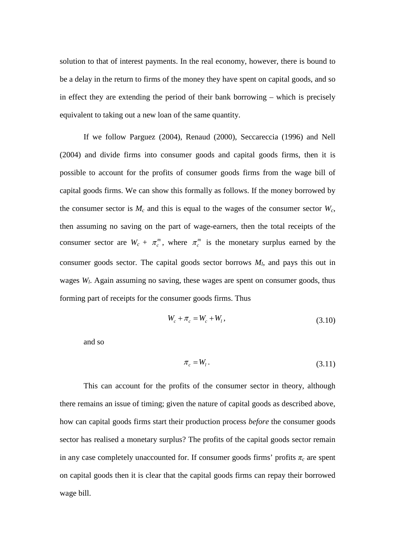solution to that of interest payments. In the real economy, however, there is bound to be a delay in the return to firms of the money they have spent on capital goods, and so in effect they are extending the period of their bank borrowing – which is precisely equivalent to taking out a new loan of the same quantity.

If we follow Parguez (2004), Renaud (2000), Seccareccia (1996) and Nell (2004) and divide firms into consumer goods and capital goods firms, then it is possible to account for the profits of consumer goods firms from the wage bill of capital goods firms. We can show this formally as follows. If the money borrowed by the consumer sector is  $M_c$  and this is equal to the wages of the consumer sector  $W_c$ , then assuming no saving on the part of wage-earners, then the total receipts of the consumer sector are  $W_c + \pi_c^m$ , where  $\pi_c^m$  is the monetary surplus earned by the consumer goods sector. The capital goods sector borrows  $M_l$ , and pays this out in wages *W<sup>l</sup>* . Again assuming no saving, these wages are spent on consumer goods, thus forming part of receipts for the consumer goods firms. Thus

$$
W_c + \pi_c = W_c + W_l, \t\t(3.10)
$$

and so

$$
\pi_c = W_l. \tag{3.11}
$$

This can account for the profits of the consumer sector in theory, although there remains an issue of timing; given the nature of capital goods as described above, how can capital goods firms start their production process *before* the consumer goods sector has realised a monetary surplus? The profits of the capital goods sector remain in any case completely unaccounted for. If consumer goods firms' profits  $\pi_c$  are spent on capital goods then it is clear that the capital goods firms can repay their borrowed wage bill.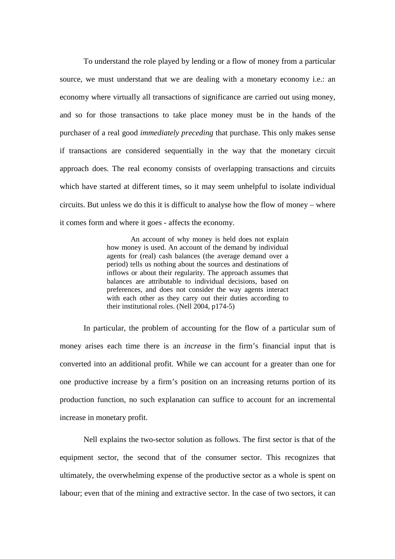To understand the role played by lending or a flow of money from a particular source, we must understand that we are dealing with a monetary economy i.e.: an economy where virtually all transactions of significance are carried out using money, and so for those transactions to take place money must be in the hands of the purchaser of a real good *immediately preceding* that purchase. This only makes sense if transactions are considered sequentially in the way that the monetary circuit approach does. The real economy consists of overlapping transactions and circuits which have started at different times, so it may seem unhelpful to isolate individual circuits. But unless we do this it is difficult to analyse how the flow of money – where it comes form and where it goes - affects the economy.

> An account of why money is held does not explain how money is used. An account of the demand by individual agents for (real) cash balances (the average demand over a period) tells us nothing about the sources and destinations of inflows or about their regularity. The approach assumes that balances are attributable to individual decisions, based on preferences, and does not consider the way agents interact with each other as they carry out their duties according to their institutional roles. (Nell 2004, p174-5)

In particular, the problem of accounting for the flow of a particular sum of money arises each time there is an *increase* in the firm's financial input that is converted into an additional profit. While we can account for a greater than one for one productive increase by a firm's position on an increasing returns portion of its production function, no such explanation can suffice to account for an incremental increase in monetary profit.

Nell explains the two-sector solution as follows. The first sector is that of the equipment sector, the second that of the consumer sector. This recognizes that ultimately, the overwhelming expense of the productive sector as a whole is spent on labour; even that of the mining and extractive sector. In the case of two sectors, it can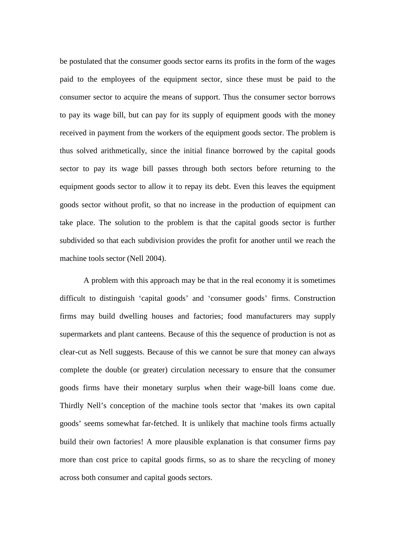be postulated that the consumer goods sector earns its profits in the form of the wages paid to the employees of the equipment sector, since these must be paid to the consumer sector to acquire the means of support. Thus the consumer sector borrows to pay its wage bill, but can pay for its supply of equipment goods with the money received in payment from the workers of the equipment goods sector. The problem is thus solved arithmetically, since the initial finance borrowed by the capital goods sector to pay its wage bill passes through both sectors before returning to the equipment goods sector to allow it to repay its debt. Even this leaves the equipment goods sector without profit, so that no increase in the production of equipment can take place. The solution to the problem is that the capital goods sector is further subdivided so that each subdivision provides the profit for another until we reach the machine tools sector (Nell 2004).

A problem with this approach may be that in the real economy it is sometimes difficult to distinguish 'capital goods' and 'consumer goods' firms. Construction firms may build dwelling houses and factories; food manufacturers may supply supermarkets and plant canteens. Because of this the sequence of production is not as clear-cut as Nell suggests. Because of this we cannot be sure that money can always complete the double (or greater) circulation necessary to ensure that the consumer goods firms have their monetary surplus when their wage-bill loans come due. Thirdly Nell's conception of the machine tools sector that 'makes its own capital goods' seems somewhat far-fetched. It is unlikely that machine tools firms actually build their own factories! A more plausible explanation is that consumer firms pay more than cost price to capital goods firms, so as to share the recycling of money across both consumer and capital goods sectors.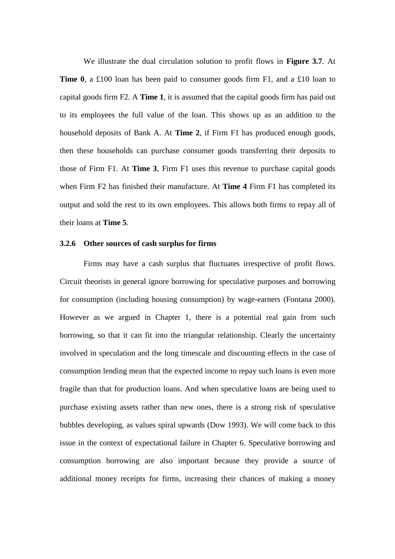We illustrate the dual circulation solution to profit flows in **Figure 3.7**. At **Time 0**, a £100 loan has been paid to consumer goods firm F1, and a £10 loan to capital goods firm F2. A **Time 1**, it is assumed that the capital goods firm has paid out to its employees the full value of the loan. This shows up as an addition to the household deposits of Bank A. At **Time 2**, if Firm F1 has produced enough goods, then these households can purchase consumer goods transferring their deposits to those of Firm F1. At **Time 3**, Firm F1 uses this revenue to purchase capital goods when Firm F2 has finished their manufacture. At **Time 4** Firm F1 has completed its output and sold the rest to its own employees. This allows both firms to repay all of their loans at **Time 5**.

## **3.2.6 Other sources of cash surplus for firms**

Firms may have a cash surplus that fluctuates irrespective of profit flows. Circuit theorists in general ignore borrowing for speculative purposes and borrowing for consumption (including housing consumption) by wage-earners (Fontana 2000). However as we argued in Chapter 1, there is a potential real gain from such borrowing, so that it can fit into the triangular relationship. Clearly the uncertainty involved in speculation and the long timescale and discounting effects in the case of consumption lending mean that the expected income to repay such loans is even more fragile than that for production loans. And when speculative loans are being used to purchase existing assets rather than new ones, there is a strong risk of speculative bubbles developing, as values spiral upwards (Dow 1993). We will come back to this issue in the context of expectational failure in Chapter 6. Speculative borrowing and consumption borrowing are also important because they provide a source of additional money receipts for firms, increasing their chances of making a money